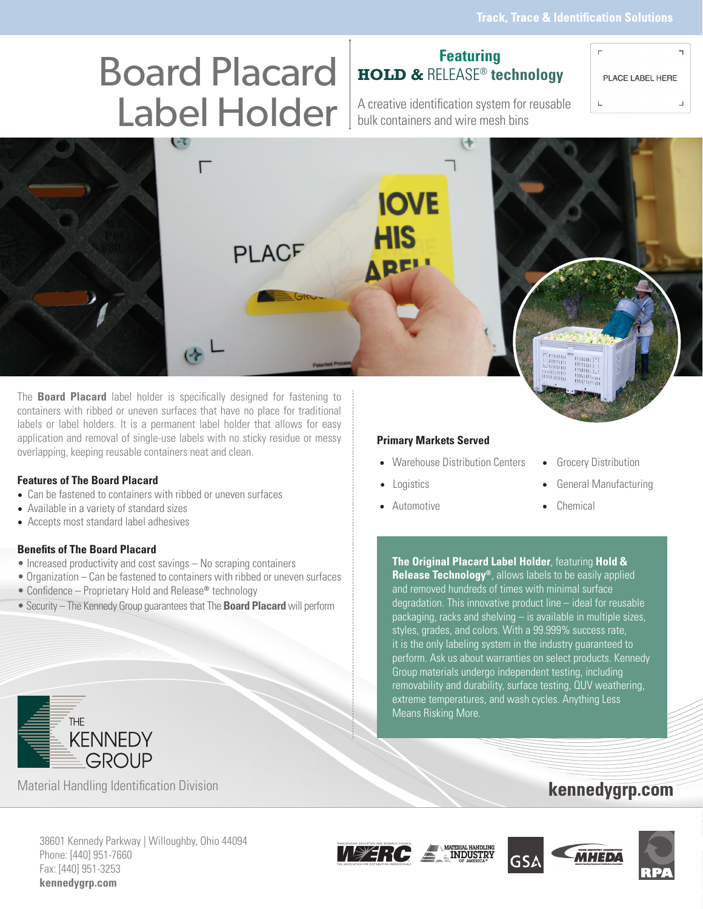# Board Placard Label Holder | A creative identification system for reusable

### **Featuring HOLD &** RELEASE® **technology**

PLACE LABEL HERE

bulk containers and wire mesh bins

(⊹  $\Gamma$ **IOVE PLACF** 

The **Board Placard** label holder is specifically designed for fastening to containers with ribbed or uneven surfaces that have no place for traditional labels or label holders. It is a permanent label holder that allows for easy application and removal of single-use labels with no sticky residue or messy overlapping, keeping reusable containers neat and clean.

#### **Features of The Board Placard**

- Can be fastened to containers with ribbed or uneven surfaces
- Available in a variety of standard sizes
- Accepts most standard label adhesives

#### **Benefits of The Board Placard**

- Increased productivity and cost savings No scraping containers
- Organization Can be fastened to containers with ribbed or uneven surfaces
- Confidence Proprietary Hold and Release**®** technology
- Security The Kennedy Group guarantees that The **Board Placard** will perform



Material Handling Identification Division

#### **Primary Markets Served**

- Warehouse Distribution Centers Grocery Distribution
- 
- Automotive Chemical
- 
- Logistics General Manufacturing
	-

**The Original Placard Label Holder**, featuring **Hold & Release Technology®**, allows labels to be easily applied and removed hundreds of times with minimal surface degradation. This innovative product line – ideal for reusable packaging, racks and shelving – is available in multiple sizes, styles, grades, and colors. With a 99.999% success rate, it is the only labeling system in the industry guaranteed to perform. Ask us about warranties on select products. Kennedy Group materials undergo independent testing, including removability and durability, surface testing, QUV weathering, extreme temperatures, and wash cycles. Anything Less Means Risking More.

### kennedygrp.com

38601 Kennedy Parkway | Willoughby, Ohio 44094 Phone: [440] 951-7660 Fax: [440] 951-3253 **kennedygrp.com**